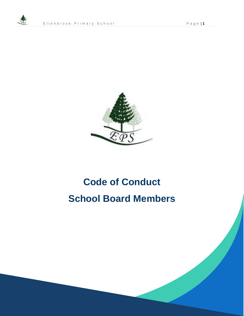

# **Code of Conduct School Board Members**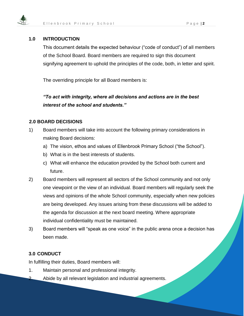

### **1.0 INTRODUCTION**

This document details the expected behaviour ("code of conduct") of all members of the School Board. Board members are required to sign this document signifying agreement to uphold the principles of the code, both, in letter and spirit.

The overriding principle for all Board members is:

*"To act with integrity, where all decisions and actions are in the best interest of the school and students."*

### **2.0 BOARD DECISIONS**

- 1) Board members will take into account the following primary considerations in making Board decisions:
	- a) The vision, ethos and values of Ellenbrook Primary School ("the School").
	- b) What is in the best interests of students.
	- c) What will enhance the education provided by the School both current and future.
- 2) Board members will represent all sectors of the School community and not only one viewpoint or the view of an individual. Board members will regularly seek the views and opinions of the whole School community, especially when new policies are being developed. Any issues arising from these discussions will be added to the agenda for discussion at the next board meeting. Where appropriate individual confidentiality must be maintained.
- 3) Board members will "speak as one voice" in the public arena once a decision has been made.

## **3.0 CONDUCT**

In fulfilling their duties, Board members will:

- 1. Maintain personal and professional integrity.
- 2. Abide by all relevant legislation and industrial agreements.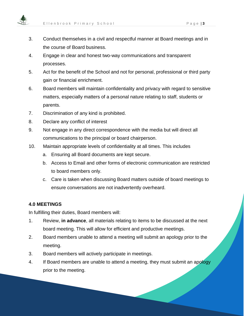

- 3. Conduct themselves in a civil and respectful manner at Board meetings and in the course of Board business.
- 4. Engage in clear and honest two-way communications and transparent processes.
- 5. Act for the benefit of the School and not for personal, professional or third party gain or financial enrichment.
- 6. Board members will maintain confidentiality and privacy with regard to sensitive matters, especially matters of a personal nature relating to staff, students or parents.
- 7. Discrimination of any kind is prohibited.
- 8. Declare any conflict of interest
- 9. Not engage in any direct correspondence with the media but will direct all communications to the principal or board chairperson.
- 10. Maintain appropriate levels of confidentiality at all times. This includes
	- a. Ensuring all Board documents are kept secure.
	- b. Access to Email and other forms of electronic communication are restricted to board members only.
	- c. Care is taken when discussing Board matters outside of board meetings to ensure conversations are not inadvertently overheard.

### **4.0 MEETINGS**

In fulfilling their duties, Board members will:

- 1. Review, **in advance**, all materials relating to items to be discussed at the next board meeting. This will allow for efficient and productive meetings.
- 2. Board members unable to attend a meeting will submit an apology prior to the meeting.
- 3. Board members will actively participate in meetings.
- 4. If Board members are unable to attend a meeting, they must submit an apology prior to the meeting.